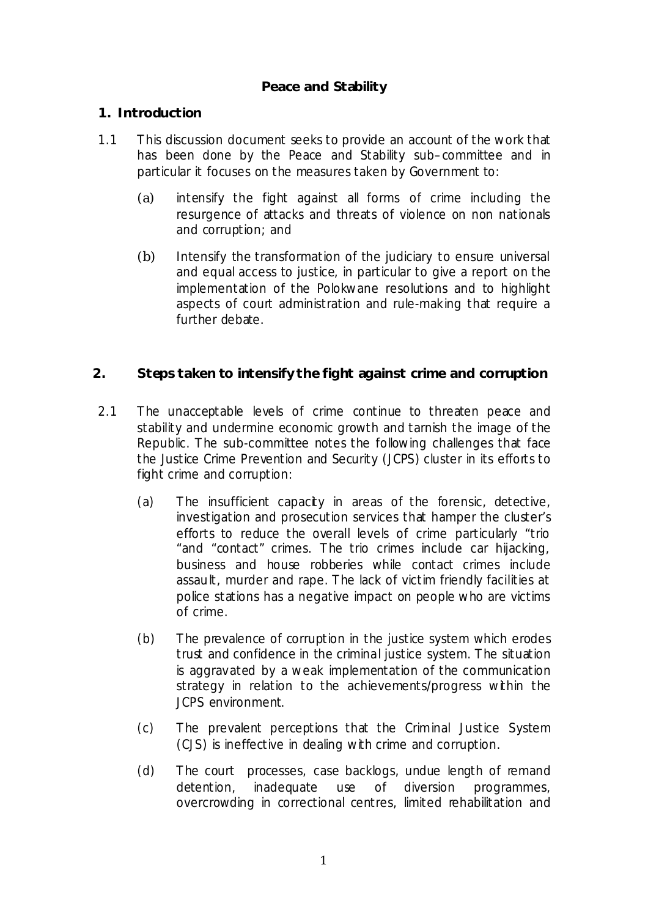## **Peace and Stability**

#### **1. Introduction**

- 1.1 This discussion document seeks to provide an account of the work that has been done by the Peace and Stability sub-committee and in particular it focuses on the measures taken by Government to:
	- (a) intensify the fight against all forms of crime including the resurgence of attacks and threats of violence on non nationals and corruption; and
	- (b) Intensify the transformation of the judiciary to ensure universal and equal access to justice, in particular to give a report on the implementation of the Polokwane resolutions and to highlight aspects of court administration and rule-making that require a further debate.

## **2. Steps taken to intensify the fight against crime and corruption**

- 2.1 The unacceptable levels of crime continue to threaten peace and stability and undermine economic growth and tarnish the image of the Republic. The sub-committee notes the following challenges that face the Justice Crime Prevention and Security (JCPS) cluster in its efforts to fight crime and corruption:
	- (a) The insufficient capacity in areas of the forensic, detective, investigation and prosecution services that hamper the cluster's efforts to reduce the overall levels of crime particularly "trio "and "contact" crimes. The trio crimes include car hijacking, business and house robberies while contact crimes include assault, murder and rape. The lack of victim friendly facilities at police stations has a negative impact on people who are victims of crime.
	- (b) The prevalence of corruption in the justice system which erodes trust and confidence in the criminal justice system. The situation is aggravated by a weak implementation of the communication strategy in relation to the achievements/progress within the JCPS environment.
	- (c) The prevalent perceptions that the Criminal Justice System (CJS) is ineffective in dealing with crime and corruption.
	- (d) The court processes, case backlogs, undue length of remand detention, inadequate use of diversion programmes, overcrowding in correctional centres, limited rehabilitation and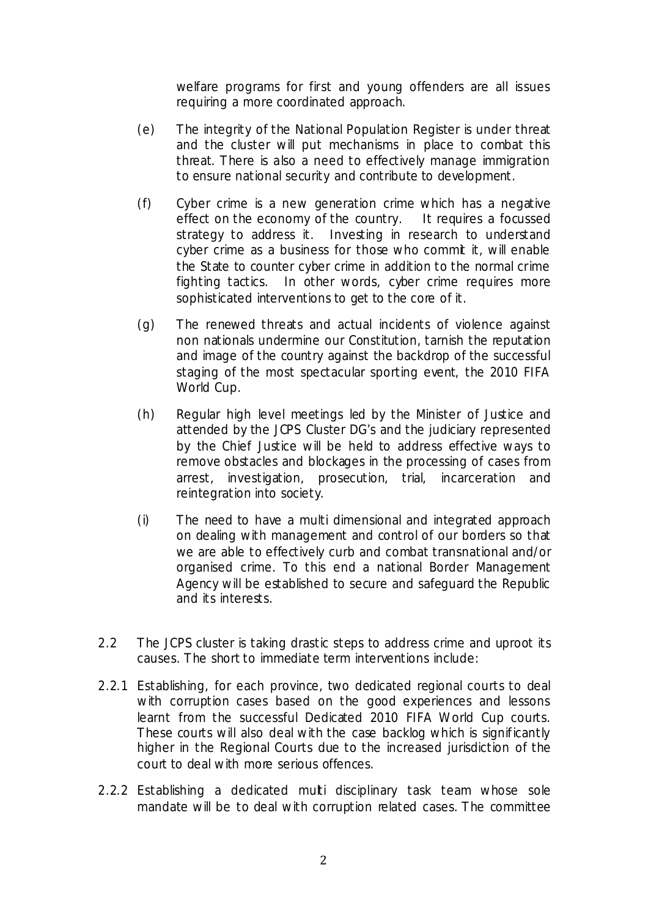welfare programs for first and young offenders are all issues requiring a more coordinated approach.

- (e) The integrity of the National Population Register is under threat and the cluster will put mechanisms in place to combat this threat. There is also a need to effectively manage immigration to ensure national security and contribute to development.
- (f) Cyber crime is a new generation crime which has a negative effect on the economy of the country. It requires a focussed strategy to address it. Investing in research to understand cyber crime as a business for those who commit it, will enable the State to counter cyber crime in addition to the normal crime fighting tactics. In other words, cyber crime requires more sophisticated interventions to get to the core of it.
- (g) The renewed threats and actual incidents of violence against non nationals undermine our Constitution, tarnish the reputation and image of the country against the backdrop of the successful staging of the most spectacular sporting event, the 2010 FIFA World Cup.
- (h) Regular high level meetings led by the Minister of Justice and attended by the JCPS Cluster DG's and the judiciary represented by the Chief Justice will be held to address effective ways to remove obstacles and blockages in the processing of cases from arrest, investigation, prosecution, trial, incarceration and reintegration into society.
- (i) The need to have a multi dimensional and integrated approach on dealing with management and control of our borders so that we are able to effectively curb and combat transnational and/or organised crime. To this end a national Border Management Agency will be established to secure and safeguard the Republic and its interests.
- 2.2 The JCPS cluster is taking drastic steps to address crime and uproot its causes. The short to immediate term interventions include:
- 2.2.1 Establishing, for each province, two dedicated regional courts to deal with corruption cases based on the good experiences and lessons learnt from the successful Dedicated 2010 FIFA World Cup courts. These courts will also deal with the case backlog which is significantly higher in the Regional Courts due to the increased jurisdiction of the court to deal with more serious offences.
- 2.2.2 Establishing a dedicated multi disciplinary task team whose sole mandate will be to deal with corruption related cases. The committee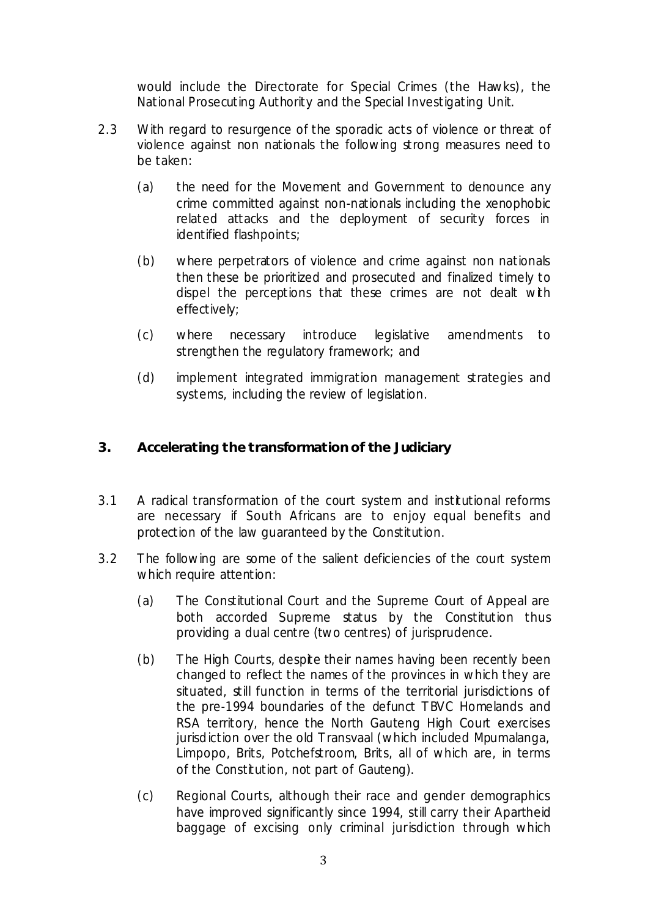would include the Directorate for Special Crimes (the Hawks), the National Prosecuting Authority and the Special Investigating Unit.

- 2.3 With regard to resurgence of the sporadic acts of violence or threat of violence against non nationals the following strong measures need to be taken:
	- (a) the need for the Movement and Government to denounce any crime committed against non-nationals including the xenophobic related attacks and the deployment of security forces in identified flashpoints;
	- (b) where perpetrators of violence and crime against non nationals then these be prioritized and prosecuted and finalized timely to dispel the perceptions that these crimes are not dealt with effectively;
	- (c) where necessary introduce legislative amendments to strengthen the regulatory framework; and
	- (d) implement integrated immigration management strategies and systems, including the review of legislation.

# **3. Accelerating the transformation of the Judiciary**

- 3.1 A radical transformation of the court system and institutional reforms are necessary if South Africans are to enjoy equal benefits and protection of the law guaranteed by the Constitution.
- 3.2 The following are some of the salient deficiencies of the court system which require attention:
	- (a) The Constitutional Court and the Supreme Court of Appeal are both accorded Supreme status by the Constitution thus providing a dual centre (two centres) of jurisprudence.
	- (b) The High Courts, despite their names having been recently been changed to reflect the names of the provinces in which they are situated, still function in terms of the territorial jurisdictions of the pre-1994 boundaries of the defunct TBVC Homelands and RSA territory, hence the North Gauteng High Court exercises jurisdiction over the old Transvaal (which included Mpumalanga, Limpopo, Brits, Potchefstroom, Brits, all of which are, in terms of the Constitution, not part of Gauteng).
	- (c) Regional Courts, although their race and gender demographics have improved significantly since 1994, still carry their Apartheid baggage of excising only criminal jurisdiction through which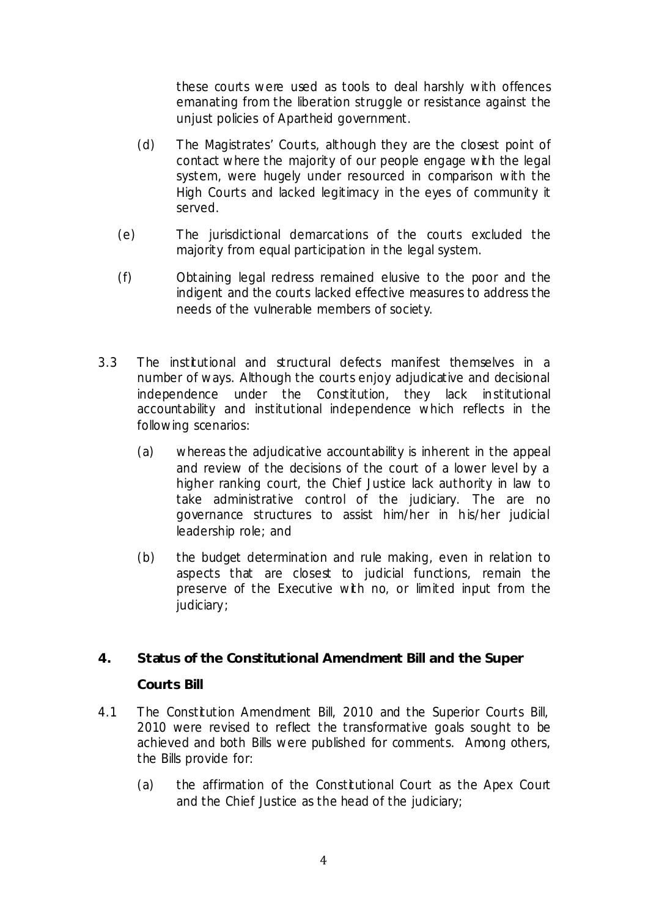these courts were used as tools to deal harshly with offences emanating from the liberation struggle or resistance against the unjust policies of Apartheid government.

- (d) The Magistrates' Courts, although they are the closest point of contact where the majority of our people engage with the legal system, were hugely under resourced in comparison with the High Courts and lacked legitimacy in the eyes of community it served.
- (e) The jurisdictional demarcations of the courts excluded the majority from equal participation in the legal system.
- (f) Obtaining legal redress remained elusive to the poor and the indigent and the courts lacked effective measures to address the needs of the vulnerable members of society.
- 3.3 The institutional and structural defects manifest themselves in a number of ways. Although the courts enjoy adjudicative and decisional independence under the Constitution, they lack institutional accountability and institutional independence which reflects in the following scenarios:
	- (a) whereas the adjudicative accountability is inherent in the appeal and review of the decisions of the court of a lower level by a higher ranking court, the Chief Justice lack authority in law to take administrative control of the judiciary. The are no governance structures to assist him/her in his/her judicial leadership role; and
	- (b) the budget determination and rule making, even in relation to aspects that are closest to judicial functions, remain the preserve of the Executive with no, or limited input from the judiciary;

## **4. Status of the Constitutional Amendment Bill and the Super**

#### **Courts Bill**

- 4.1 The Constitution Amendment Bill, 2010 and the Superior Courts Bill, 2010 were revised to reflect the transformative goals sought to be achieved and both Bills were published for comments. Among others, the Bills provide for:
	- (a) the affirmation of the Constitutional Court as the Apex Court and the Chief Justice as the head of the judiciary;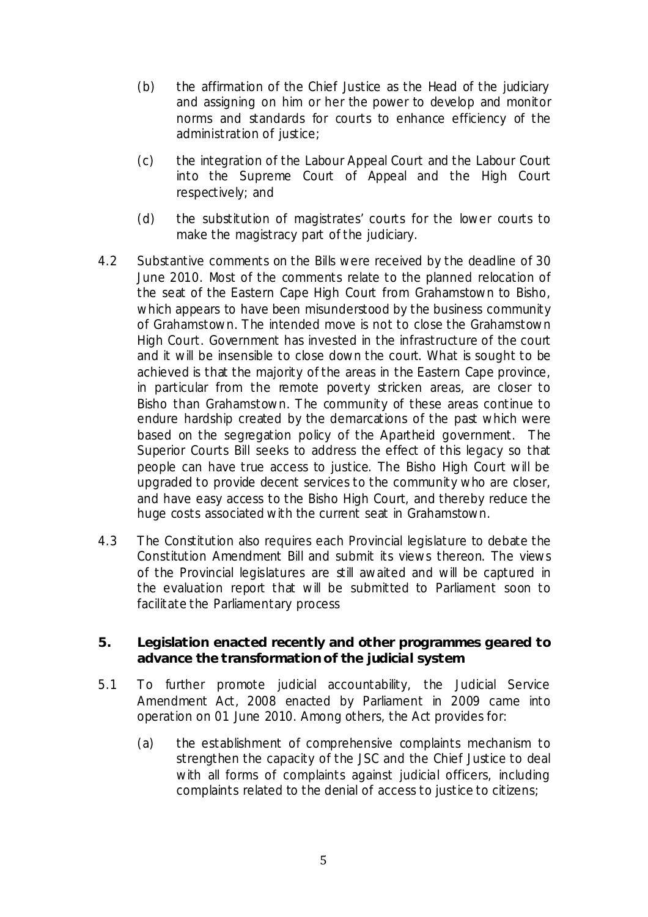- (b) the affirmation of the Chief Justice as the Head of the judiciary and assigning on him or her the power to develop and monitor norms and standards for courts to enhance efficiency of the administration of justice;
- (c) the integration of the Labour Appeal Court and the Labour Court into the Supreme Court of Appeal and the High Court respectively; and
- (d) the substitution of magistrates' courts for the lower courts to make the magistracy part of the judiciary.
- 4.2 Substantive comments on the Bills were received by the deadline of 30 June 2010. Most of the comments relate to the planned relocation of the seat of the Eastern Cape High Court from Grahamstown to Bisho, which appears to have been misunderstood by the business community of Grahamstown. The intended move is not to close the Grahamstown High Court. Government has invested in the infrastructure of the court and it will be insensible to close down the court. What is sought to be achieved is that the majority of the areas in the Eastern Cape province, in particular from the remote poverty stricken areas, are closer to Bisho than Grahamstown. The community of these areas continue to endure hardship created by the demarcations of the past which were based on the segregation policy of the Apartheid government. The Superior Courts Bill seeks to address the effect of this legacy so that people can have true access to justice. The Bisho High Court will be upgraded to provide decent services to the community who are closer, and have easy access to the Bisho High Court, and thereby reduce the huge costs associated with the current seat in Grahamstown.
- 4.3 The Constitution also requires each Provincial legislature to debate the Constitution Amendment Bill and submit its views thereon. The views of the Provincial legislatures are still awaited and will be captured in the evaluation report that will be submitted to Parliament soon to facilitate the Parliamentary process

### **5. Legislation enacted recently and other programmes geared to advance the transformation of the judicial system**

- 5.1 To further promote judicial accountability, the Judicial Service Amendment Act, 2008 enacted by Parliament in 2009 came into operation on 01 June 2010. Among others, the Act provides for:
	- (a) the establishment of comprehensive complaints mechanism to strengthen the capacity of the JSC and the Chief Justice to deal with all forms of complaints against judicial officers, including complaints related to the denial of access to justice to citizens;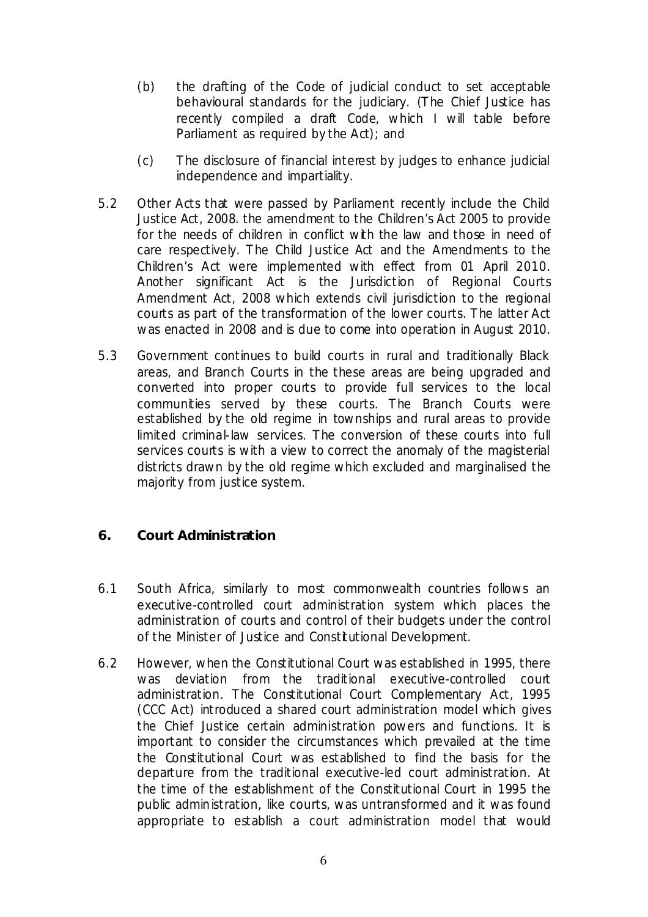- (b) the drafting of the Code of judicial conduct to set acceptable behavioural standards for the judiciary. (The Chief Justice has recently compiled a draft Code, which I will table before Parliament as required by the Act); and
- (c) The disclosure of financial interest by judges to enhance judicial independence and impartiality.
- 5.2 Other Acts that were passed by Parliament recently include the Child Justice Act, 2008. the amendment to the Children's Act 2005 to provide for the needs of children in conflict with the law and those in need of care respectively. The Child Justice Act and the Amendments to the Children's Act were implemented with effect from 01 April 2010. Another significant Act is the Jurisdiction of Regional Courts Amendment Act, 2008 which extends civil jurisdiction to the regional courts as part of the transformation of the lower courts. The latter Act was enacted in 2008 and is due to come into operation in August 2010.
- 5.3 Government continues to build courts in rural and traditionally Black areas, and Branch Courts in the these areas are being upgraded and converted into proper courts to provide full services to the local communities served by these courts. The Branch Courts were established by the old regime in townships and rural areas to provide limited criminal-law services. The conversion of these courts into full services courts is with a view to correct the anomaly of the magisterial districts drawn by the old regime which excluded and marginalised the majority from justice system.

## **6. Court Administration**

- 6.1 South Africa, similarly to most commonwealth countries follows an executive-controlled court administration system which places the administration of courts and control of their budgets under the control of the Minister of Justice and Constitutional Development.
- 6.2 However, when the Constitutional Court was established in 1995, there was deviation from the traditional executive-controlled court administration. The Constitutional Court Complementary Act, 1995 (CCC Act) introduced a shared court administration model which gives the Chief Justice certain administration powers and functions. It is important to consider the circumstances which prevailed at the time the Constitutional Court was established to find the basis for the departure from the traditional executive-led court administration. At the time of the establishment of the Constitutional Court in 1995 the public administration, like courts, was untransformed and it was found appropriate to establish a court administration model that would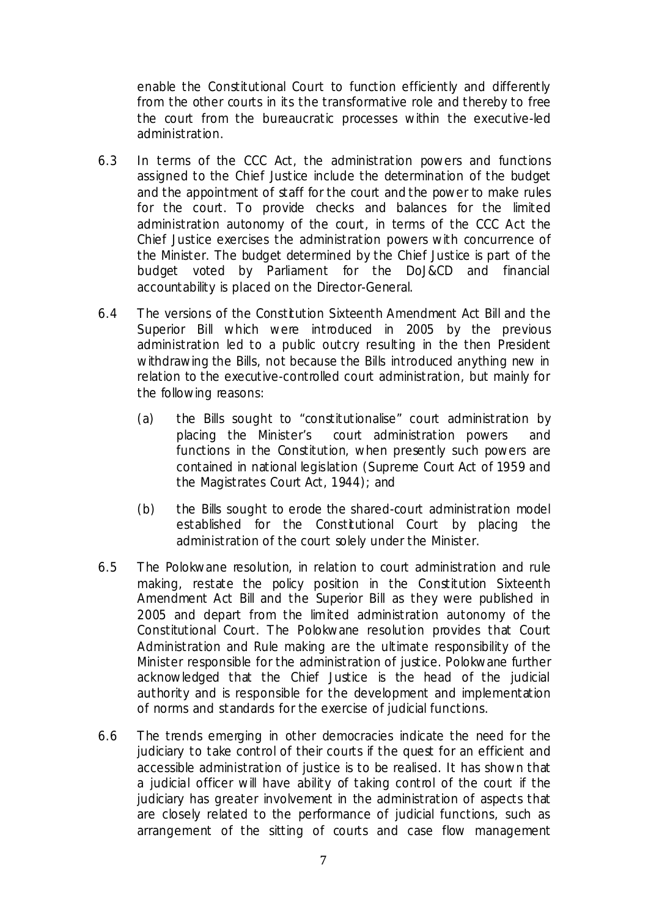enable the Constitutional Court to function efficiently and differently from the other courts in its the transformative role and thereby to free the court from the bureaucratic processes within the executive-led administration.

- 6.3 In terms of the CCC Act, the administration powers and functions assigned to the Chief Justice include the determination of the budget and the appointment of staff for the court and the power to make rules for the court. To provide checks and balances for the limited administration autonomy of the court, in terms of the CCC Act the Chief Justice exercises the administration powers with concurrence of the Minister. The budget determined by the Chief Justice is part of the budget voted by Parliament for the DoJ&CD and financial accountability is placed on the Director-General.
- 6.4 The versions of the Constitution Sixteenth Amendment Act Bill and the Superior Bill which were introduced in 2005 by the previous administration led to a public outcry resulting in the then President withdrawing the Bills, not because the Bills introduced anything new in relation to the executive-controlled court administration, but mainly for the following reasons:
	- (a) the Bills sought to "constitutionalise" court administration by placing the Minister's court administration powers and functions in the Constitution, when presently such powers are contained in national legislation (Supreme Court Act of 1959 and the Magistrates Court Act, 1944); and
	- (b) the Bills sought to erode the shared-court administration model established for the Constitutional Court by placing the administration of the court solely under the Minister.
- 6.5 The Polokwane resolution, in relation to court administration and rule making, restate the policy position in the Constitution Sixteenth Amendment Act Bill and the Superior Bill as they were published in 2005 and depart from the limited administration autonomy of the Constitutional Court. The Polokwane resolution provides that Court Administration and Rule making are the ultimate responsibility of the Minister responsible for the administration of justice. Polokwane further acknowledged that the Chief Justice is the head of the judicial authority and is responsible for the development and implementation of norms and standards for the exercise of judicial functions.
- 6.6 The trends emerging in other democracies indicate the need for the judiciary to take control of their courts if the quest for an efficient and accessible administration of justice is to be realised. It has shown that a judicial officer will have ability of taking control of the court if the judiciary has greater involvement in the administration of aspects that are closely related to the performance of judicial functions, such as arrangement of the sitting of courts and case flow management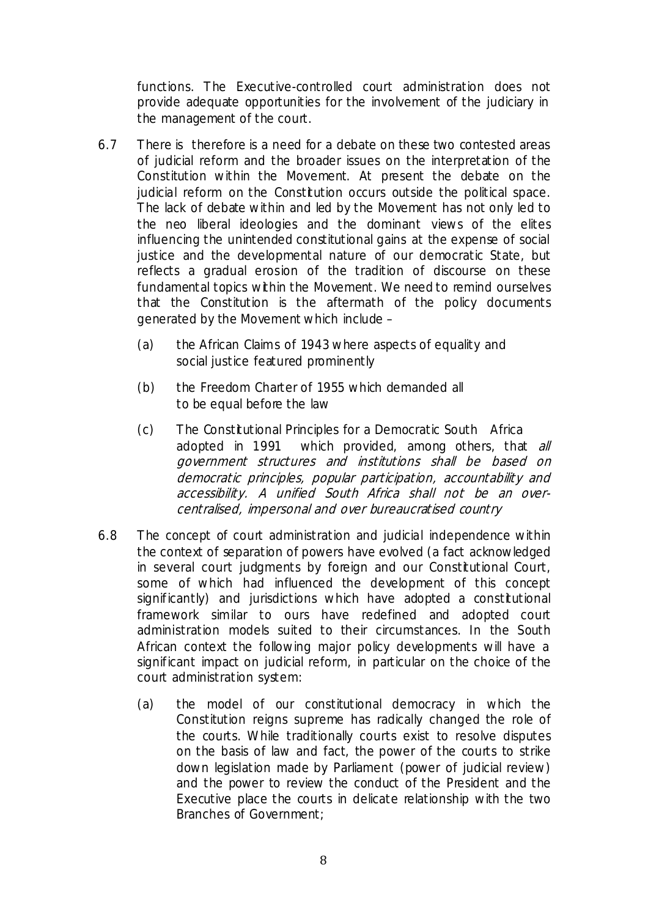functions. The Executive-controlled court administration does not provide adequate opportunities for the involvement of the judiciary in the management of the court.

- 6.7 There is therefore is a need for a debate on these two contested areas of judicial reform and the broader issues on the interpretation of the Constitution within the Movement. At present the debate on the judicial reform on the Constitution occurs outside the political space. The lack of debate within and led by the Movement has not only led to the neo liberal ideologies and the dominant views of the elites influencing the unintended constitutional gains at the expense of social justice and the developmental nature of our democratic State, but reflects a gradual erosion of the tradition of discourse on these fundamental topics within the Movement. We need to remind ourselves that the Constitution is the aftermath of the policy documents generated by the Movement which include –
	- (a) the African Claims of 1943 where aspects of equality and social justice featured prominently
	- (b) the Freedom Charter of 1955 which demanded all to be equal before the law
	- (c) The Constitutional Principles for a Democratic South Africa adopted in 1991 which provided, among others, that all government structures and institutions shall be based on democratic principles, popular participation, accountability and accessibility. A unified South Africa shall not be an overcentralised, impersonal and over bureaucratised country
- 6.8 The concept of court administration and judicial independence within the context of separation of powers have evolved (a fact acknowledged in several court judgments by foreign and our Constitutional Court, some of which had influenced the development of this concept significantly) and jurisdictions which have adopted a constitutional framework similar to ours have redefined and adopted court administration models suited to their circumstances. In the South African context the following major policy developments will have a significant impact on judicial reform, in particular on the choice of the court administration system:
	- (a) the model of our constitutional democracy in which the Constitution reigns supreme has radically changed the role of the courts. While traditionally courts exist to resolve disputes on the basis of law and fact, the power of the courts to strike down legislation made by Parliament (power of judicial review) and the power to review the conduct of the President and the Executive place the courts in delicate relationship with the two Branches of Government;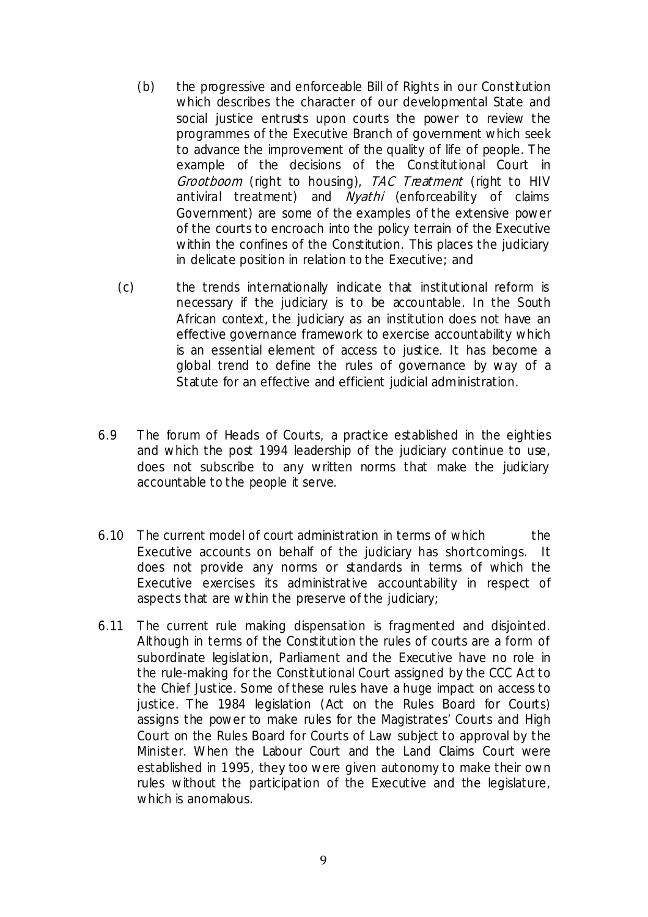- (b) the progressive and enforceable Bill of Rights in our Constitution which describes the character of our developmental State and social justice entrusts upon courts the power to review the programmes of the Executive Branch of government which seek to advance the improvement of the quality of life of people. The example of the decisions of the Constitutional Court in Grootboom (right to housing), TAC Treatment (right to HIV antiviral treatment) and *Nyathi* (enforceability of claims Government) are some of the examples of the extensive power of the courts to encroach into the policy terrain of the Executive within the confines of the Constitution. This places the judiciary in delicate position in relation to the Executive; and
- (c) the trends internationally indicate that institutional reform is necessary if the judiciary is to be accountable. In the South African context, the judiciary as an institution does not have an effective governance framework to exercise accountability which is an essential element of access to justice. It has become a global trend to define the rules of governance by way of a Statute for an effective and efficient judicial administration.
- 6.9 The forum of Heads of Courts, a practice established in the eighties and which the post 1994 leadership of the judiciary continue to use, does not subscribe to any written norms that make the judiciary accountable to the people it serve.
- 6.10 The current model of court administration in terms of which the Executive accounts on behalf of the judiciary has shortcomings. It does not provide any norms or standards in terms of which the Executive exercises its administrative accountability in respect of aspects that are within the preserve of the judiciary;
- 6.11 The current rule making dispensation is fragmented and disjointed. Although in terms of the Constitution the rules of courts are a form of subordinate legislation, Parliament and the Executive have no role in the rule-making for the Constitutional Court assigned by the CCC Act to the Chief Justice. Some of these rules have a huge impact on access to justice. The 1984 legislation (Act on the Rules Board for Courts) assigns the power to make rules for the Magistrates' Courts and High Court on the Rules Board for Courts of Law subject to approval by the Minister. When the Labour Court and the Land Claims Court were established in 1995, they too were given autonomy to make their own rules without the participation of the Executive and the legislature, which is anomalous.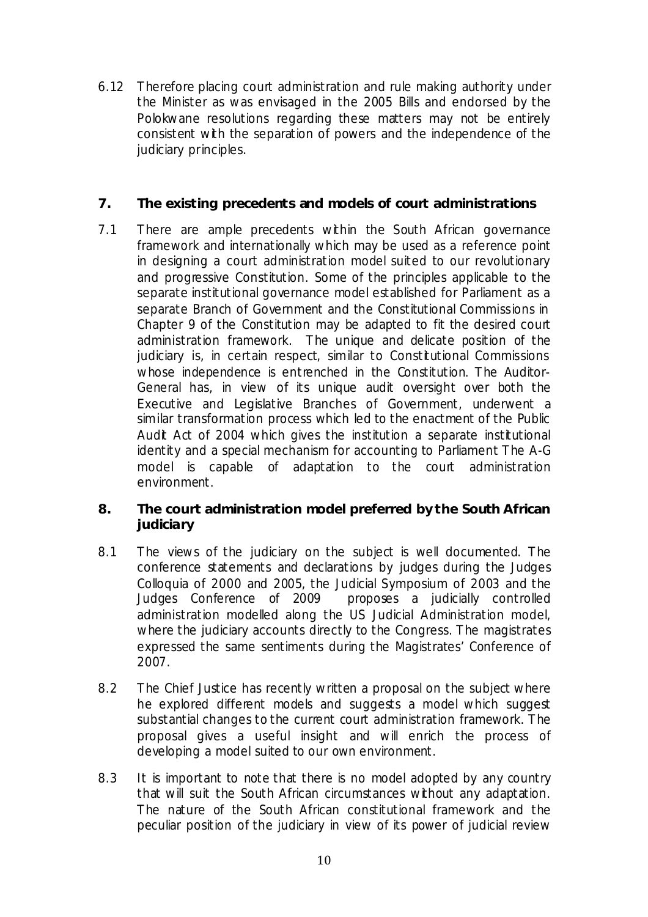6.12 Therefore placing court administration and rule making authority under the Minister as was envisaged in the 2005 Bills and endorsed by the Polokwane resolutions regarding these matters may not be entirely consistent with the separation of powers and the independence of the judiciary principles.

## **7. The existing precedents and models of court administrations**

7.1 There are ample precedents within the South African governance framework and internationally which may be used as a reference point in designing a court administration model suited to our revolutionary and progressive Constitution. Some of the principles applicable to the separate institutional governance model established for Parliament as a separate Branch of Government and the Constitutional Commissions in Chapter 9 of the Constitution may be adapted to fit the desired court administration framework. The unique and delicate position of the judiciary is, in certain respect, similar to Constitutional Commissions whose independence is entrenched in the Constitution. The Auditor-General has, in view of its unique audit oversight over both the Executive and Legislative Branches of Government, underwent a similar transformation process which led to the enactment of the Public Audit Act of 2004 which gives the institution a separate institutional identity and a special mechanism for accounting to Parliament The A-G model is capable of adaptation to the court administration environment.

## **8. The court administration model preferred by the South African judiciary**

- 8.1 The views of the judiciary on the subject is well documented. The conference statements and declarations by judges during the Judges Colloquia of 2000 and 2005, the Judicial Symposium of 2003 and the Judges Conference of 2009 proposes a judicially controlled administration modelled along the US Judicial Administration model, where the judiciary accounts directly to the Congress. The magistrates expressed the same sentiments during the Magistrates' Conference of 2007.
- 8.2 The Chief Justice has recently written a proposal on the subject where he explored different models and suggests a model which suggest substantial changes to the current court administration framework. The proposal gives a useful insight and will enrich the process of developing a model suited to our own environment.
- 8.3 It is important to note that there is no model adopted by any country that will suit the South African circumstances without any adaptation. The nature of the South African constitutional framework and the peculiar position of the judiciary in view of its power of judicial review